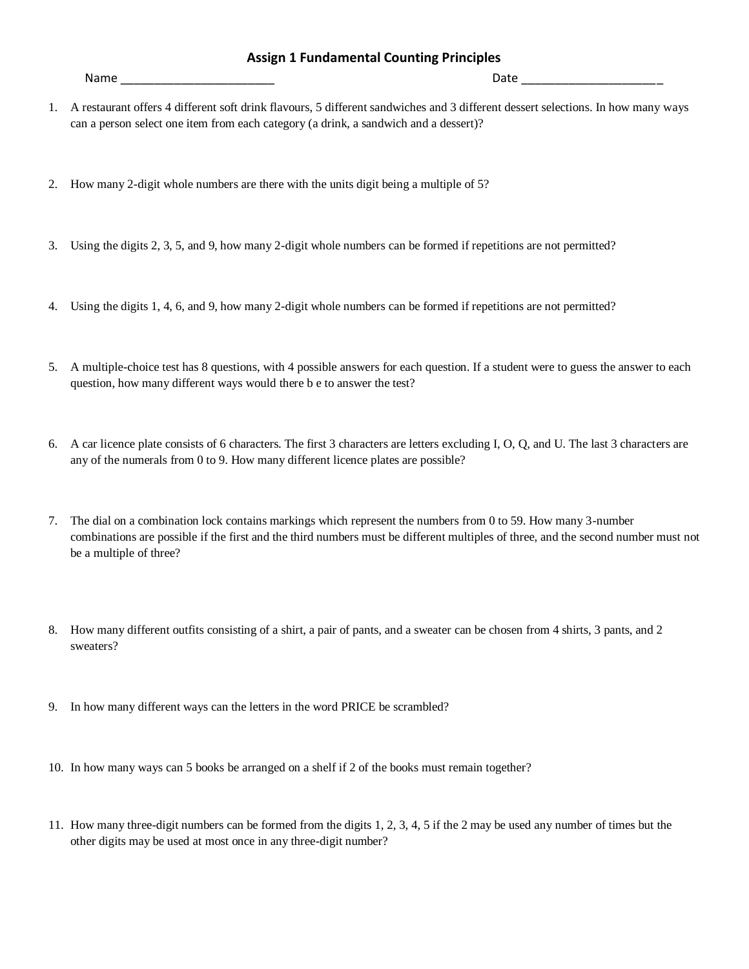## **Assign 1 Fundamental Counting Principles**

Name \_\_\_\_\_\_\_\_\_\_\_\_\_\_\_\_\_\_\_\_\_\_\_ Date \_\_\_\_\_\_\_\_\_\_\_\_\_\_\_\_\_\_\_\_\_

- 1. A restaurant offers 4 different soft drink flavours, 5 different sandwiches and 3 different dessert selections. In how many ways can a person select one item from each category (a drink, a sandwich and a dessert)?
- 2. How many 2-digit whole numbers are there with the units digit being a multiple of 5?
- 3. Using the digits 2, 3, 5, and 9, how many 2-digit whole numbers can be formed if repetitions are not permitted?
- 4. Using the digits 1, 4, 6, and 9, how many 2-digit whole numbers can be formed if repetitions are not permitted?
- 5. A multiple-choice test has 8 questions, with 4 possible answers for each question. If a student were to guess the answer to each question, how many different ways would there b e to answer the test?
- 6. A car licence plate consists of 6 characters. The first 3 characters are letters excluding I, O, Q, and U. The last 3 characters are any of the numerals from 0 to 9. How many different licence plates are possible?
- 7. The dial on a combination lock contains markings which represent the numbers from 0 to 59. How many 3-number combinations are possible if the first and the third numbers must be different multiples of three, and the second number must not be a multiple of three?
- 8. How many different outfits consisting of a shirt, a pair of pants, and a sweater can be chosen from 4 shirts, 3 pants, and 2 sweaters?
- 9. In how many different ways can the letters in the word PRICE be scrambled?
- 10. In how many ways can 5 books be arranged on a shelf if 2 of the books must remain together?
- 11. How many three-digit numbers can be formed from the digits 1, 2, 3, 4, 5 if the 2 may be used any number of times but the other digits may be used at most once in any three-digit number?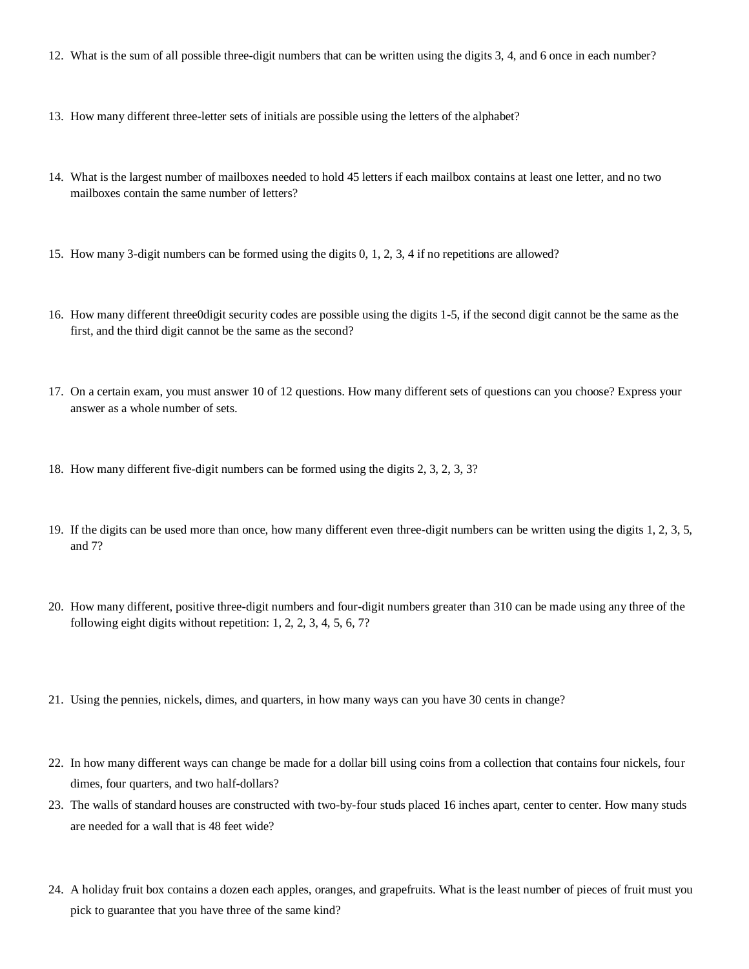- 12. What is the sum of all possible three-digit numbers that can be written using the digits 3, 4, and 6 once in each number?
- 13. How many different three-letter sets of initials are possible using the letters of the alphabet?
- 14. What is the largest number of mailboxes needed to hold 45 letters if each mailbox contains at least one letter, and no two mailboxes contain the same number of letters?
- 15. How many 3-digit numbers can be formed using the digits 0, 1, 2, 3, 4 if no repetitions are allowed?
- 16. How many different three0digit security codes are possible using the digits 1-5, if the second digit cannot be the same as the first, and the third digit cannot be the same as the second?
- 17. On a certain exam, you must answer 10 of 12 questions. How many different sets of questions can you choose? Express your answer as a whole number of sets.
- 18. How many different five-digit numbers can be formed using the digits 2, 3, 2, 3, 3?
- 19. If the digits can be used more than once, how many different even three-digit numbers can be written using the digits 1, 2, 3, 5, and 7?
- 20. How many different, positive three-digit numbers and four-digit numbers greater than 310 can be made using any three of the following eight digits without repetition: 1, 2, 2, 3, 4, 5, 6, 7?
- 21. Using the pennies, nickels, dimes, and quarters, in how many ways can you have 30 cents in change?
- 22. In how many different ways can change be made for a dollar bill using coins from a collection that contains four nickels, four dimes, four quarters, and two half-dollars?
- 23. The walls of standard houses are constructed with two-by-four studs placed 16 inches apart, center to center. How many studs are needed for a wall that is 48 feet wide?
- 24. A holiday fruit box contains a dozen each apples, oranges, and grapefruits. What is the least number of pieces of fruit must you pick to guarantee that you have three of the same kind?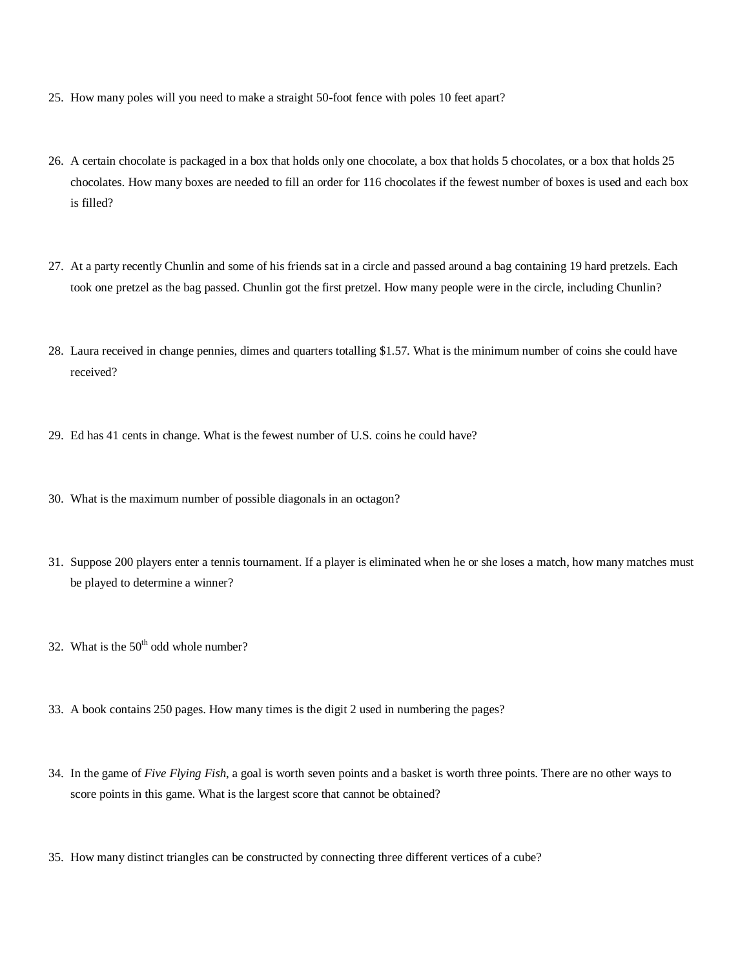- 25. How many poles will you need to make a straight 50-foot fence with poles 10 feet apart?
- 26. A certain chocolate is packaged in a box that holds only one chocolate, a box that holds 5 chocolates, or a box that holds 25 chocolates. How many boxes are needed to fill an order for 116 chocolates if the fewest number of boxes is used and each box is filled?
- 27. At a party recently Chunlin and some of his friends sat in a circle and passed around a bag containing 19 hard pretzels. Each took one pretzel as the bag passed. Chunlin got the first pretzel. How many people were in the circle, including Chunlin?
- 28. Laura received in change pennies, dimes and quarters totalling \$1.57. What is the minimum number of coins she could have received?
- 29. Ed has 41 cents in change. What is the fewest number of U.S. coins he could have?
- 30. What is the maximum number of possible diagonals in an octagon?
- 31. Suppose 200 players enter a tennis tournament. If a player is eliminated when he or she loses a match, how many matches must be played to determine a winner?
- 32. What is the  $50<sup>th</sup>$  odd whole number?
- 33. A book contains 250 pages. How many times is the digit 2 used in numbering the pages?
- 34. In the game of *Five Flying Fish*, a goal is worth seven points and a basket is worth three points. There are no other ways to score points in this game. What is the largest score that cannot be obtained?
- 35. How many distinct triangles can be constructed by connecting three different vertices of a cube?